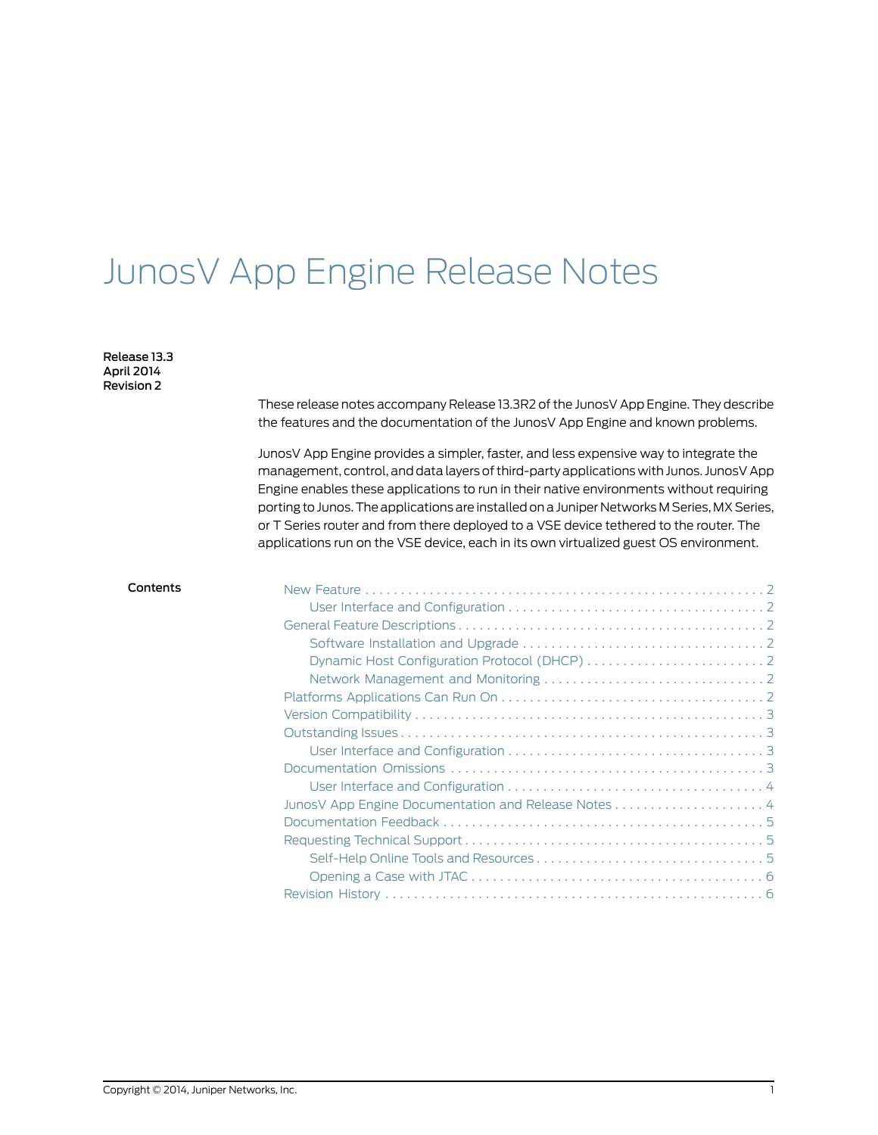# JunosV App Engine Release Notes

Release 13.3 April 2014 Revision 2

> These release notes accompany Release 13.3R2 of the JunosV App Engine. They describe the features and the documentation of the JunosV App Engine and known problems.

> JunosV App Engine provides a simpler, faster, and less expensive way to integrate the management, control, and data layers of third-party applications with Junos. JunosV App Engine enables these applications to run in their native environments without requiring porting to Junos.The applications are installedon a Juniper Networks M Series, MX Series, or T Series router and from there deployed to a VSE device tethered to the router. The applications run on the VSE device, each in its own virtualized guest OS environment.

| Contents |  |
|----------|--|
|          |  |
|          |  |
|          |  |
|          |  |
|          |  |
|          |  |
|          |  |
|          |  |
|          |  |
|          |  |
|          |  |
|          |  |
|          |  |
|          |  |
|          |  |
|          |  |
|          |  |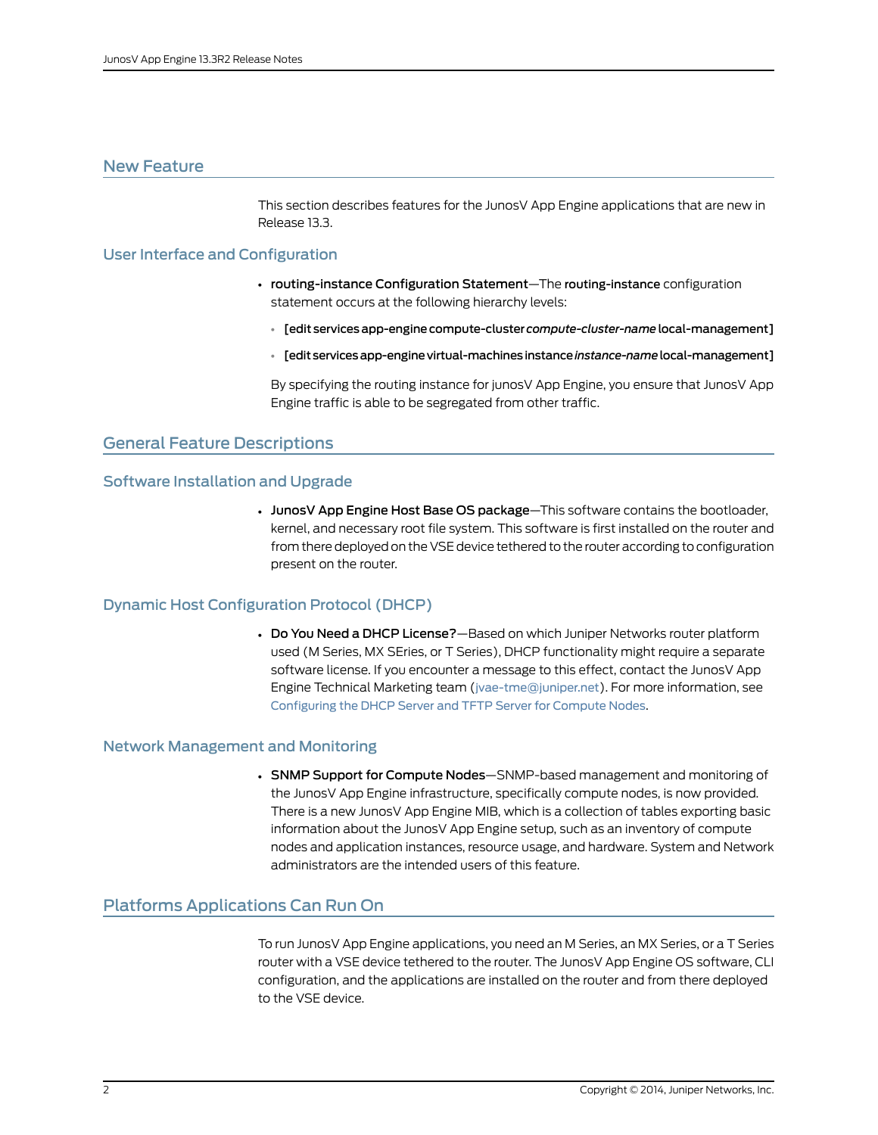# <span id="page-1-0"></span>New Feature

This section describes features for the JunosV App Engine applications that are new in Release 13.3.

# <span id="page-1-1"></span>User Interface and Configuration

- routing-instance Configuration Statement—The routing-instance configuration statement occurs at the following hierarchy levels:
	- [edit servicesapp-enginecompute-cluster *compute-cluster-name* local-management]
	- [editservicesapp-enginevirtual-machinesinstance*instance-name*local-management]

By specifying the routing instance for junosV App Engine, you ensure that JunosV App Engine traffic is able to be segregated from other traffic.

# <span id="page-1-3"></span><span id="page-1-2"></span>General Feature Descriptions

# Software Installation and Upgrade

• JunosV App Engine Host Base OS package—This software contains the bootloader, kernel, and necessary root file system. This software is first installed on the router and from there deployed on the VSE device tethered to the router according to configuration present on the router.

#### <span id="page-1-5"></span><span id="page-1-4"></span>Dynamic Host Configuration Protocol (DHCP)

• Do You Need a DHCP License?—Based on which Juniper Networks router platform used (M Series, MX SEries, or T Series), DHCP functionality might require a separate software license. If you encounter a message to this effect, contact the JunosV App Engine Technical Marketing team (<jvae-tme@juniper.net>). For more information, see [Configuring](http://www.juniper.net/techpubs/en_US/junosv-app-engine13.2/topics/task/configuration/compute-node-configuring-dhcp-server.html) the DHCP Server and TFTP Server for Compute Nodes.

#### <span id="page-1-6"></span>Network Management and Monitoring

• SNMP Support for Compute Nodes—SNMP-based management and monitoring of the JunosV App Engine infrastructure, specifically compute nodes, is now provided. There is a new JunosV App Engine MIB, which is a collection of tables exporting basic information about the JunosV App Engine setup, such as an inventory of compute nodes and application instances, resource usage, and hardware. System and Network administrators are the intended users of this feature.

# Platforms Applications Can Run On

To run JunosV App Engine applications, you need an M Series, an MX Series, or a T Series router with a VSE device tethered to the router. The JunosV App Engine OS software, CLI configuration, and the applications are installed on the router and from there deployed to the VSE device.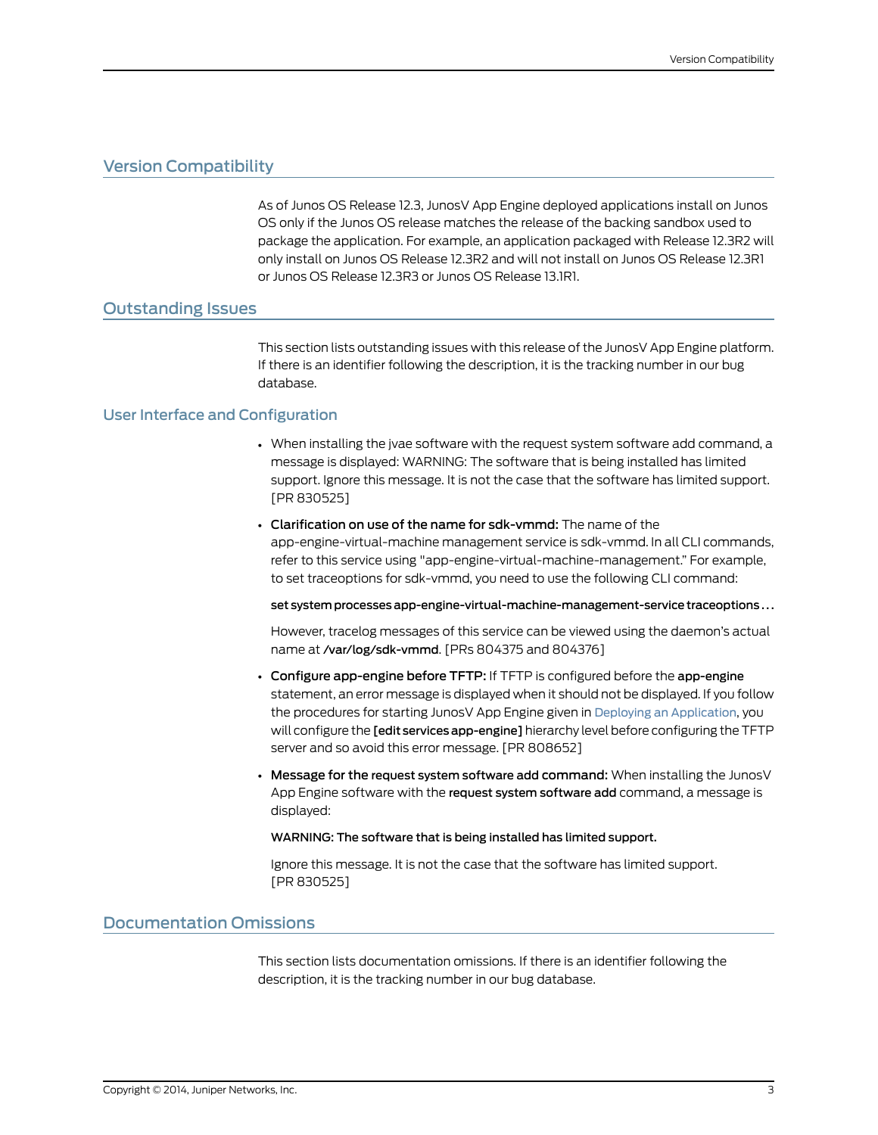# <span id="page-2-0"></span>Version Compatibility

As of Junos OS Release 12.3, JunosV App Engine deployed applications install on Junos OS only if the Junos OS release matches the release of the backing sandbox used to package the application. For example, an application packaged with Release 12.3R2 will only install on Junos OS Release 12.3R2 and will not install on Junos OS Release 12.3R1 or Junos OS Release 12.3R3 or Junos OS Release 13.1R1.

# <span id="page-2-1"></span>Outstanding Issues

This section lists outstanding issues with this release of the JunosV App Engine platform. If there is an identifier following the description, it is the tracking number in our bug database.

# <span id="page-2-2"></span>User Interface and Configuration

- When installing the jvae software with the request system software add command, a message is displayed: WARNING: The software that is being installed has limited support. Ignore this message. It is not the case that the software has limited support. [PR 830525]
- Clarification on use of the name for sdk-vmmd: The name of the app-engine-virtual-machine management service is sdk-vmmd. In all CLI commands, refer to this service using "app-engine-virtual-machine-management." For example, to set traceoptions for sdk-vmmd, you need to use the following CLI command:

set system processes app-engine-virtual-machine-management-service traceoptions . . .

However, tracelog messages of this service can be viewed using the daemon's actual name at /var/log/sdk-vmmd. [PRs 804375 and 804376]

- Configure app-engine before TFTP: If TFTP is configured before the app-engine statement, an error message is displayed when it should not be displayed. If you follow the procedures for starting JunosV App Engine given in Deploying an [Application](http://www.juniper.net/techpubs/en_US/junosv-app-engine13.2/topics/task/configuration/application-deploying.html), you will configure the [edit services app-engine] hierarchy level before configuring the TFTP server and so avoid this error message. [PR 808652]
- Message for the request system software add command: When installing the JunosV App Engine software with the request system software add command, a message is displayed:

#### WARNING: The software that is being installed has limited support.

Ignore this message. It is not the case that the software has limited support. [PR 830525]

### <span id="page-2-3"></span>Documentation Omissions

This section lists documentation omissions. If there is an identifier following the description, it is the tracking number in our bug database.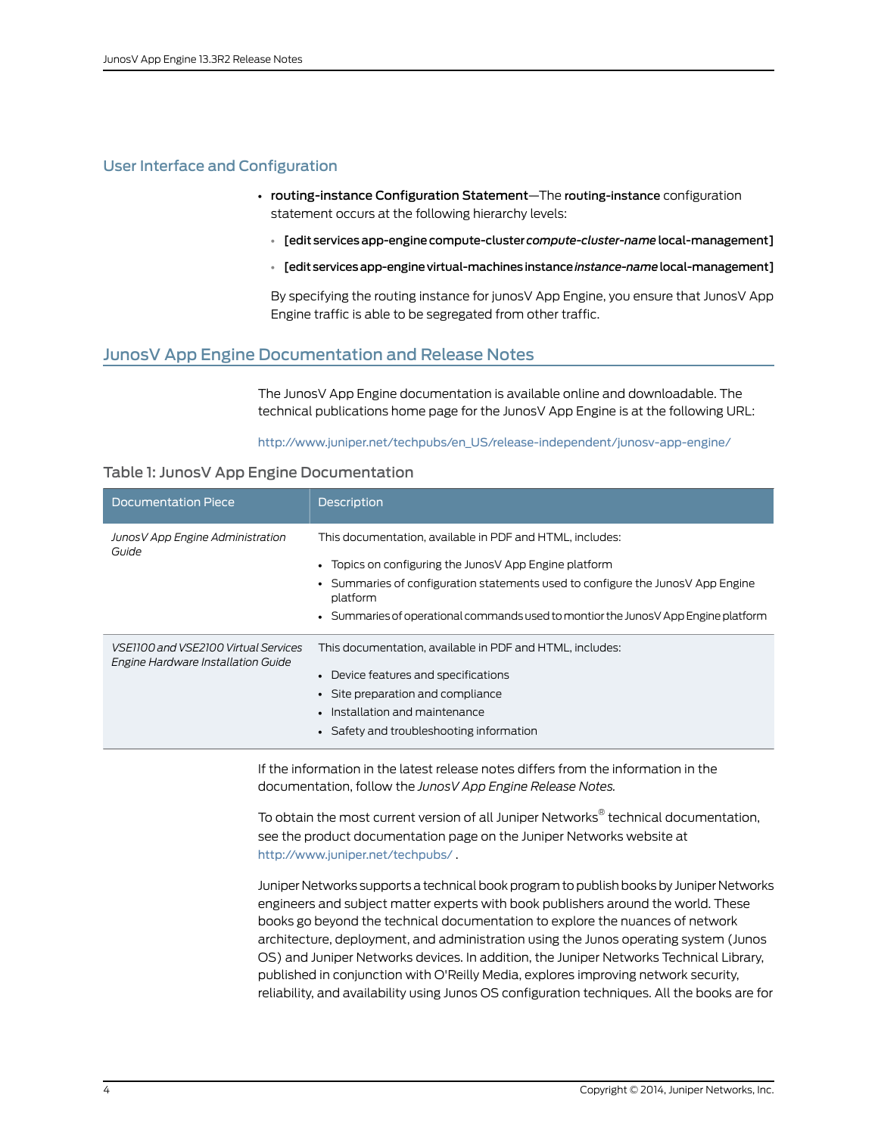# <span id="page-3-0"></span>User Interface and Configuration

- routing-instance Configuration Statement—The routing-instance configuration statement occurs at the following hierarchy levels:
	- [edit servicesapp-enginecompute-cluster *compute-cluster-name* local-management]
	- [editservicesapp-enginevirtual-machinesinstance*instance-name*local-management]

By specifying the routing instance for junosV App Engine, you ensure that JunosV App Engine traffic is able to be segregated from other traffic.

# <span id="page-3-1"></span>JunosV App Engine Documentation and Release Notes

The JunosV App Engine documentation is available online and downloadable. The technical publications home page for the JunosV App Engine is at the following URL:

#### [http://www.juniper.net/techpubs/en\\_US/release-independent/junosv-app-engine/](http://www.juniper.net/techpubs/en_US/release-independent/junos-sdk/)

# Table 1: JunosV App Engine Documentation

| Documentation Piece                                                        | <b>Description</b>                                                                                                                                                                                                                                                                                        |
|----------------------------------------------------------------------------|-----------------------------------------------------------------------------------------------------------------------------------------------------------------------------------------------------------------------------------------------------------------------------------------------------------|
| Junos V App Engine Administration<br>Guide                                 | This documentation, available in PDF and HTML, includes:<br>• Topics on configuring the JunosV App Engine platform<br>• Summaries of configuration statements used to configure the Junos V App Engine<br>platform<br>• Summaries of operational commands used to montior the Junos V App Engine platform |
| VSE1100 and VSE2100 Virtual Services<br>Engine Hardware Installation Guide | This documentation, available in PDF and HTML, includes:<br>• Device features and specifications<br>• Site preparation and compliance<br>• Installation and maintenance<br>• Safety and troubleshooting information                                                                                       |

If the information in the latest release notes differs from the information in the documentation, follow the *JunosV App Engine Release Notes.*

To obtain the most current version of all Juniper Networks ® technical documentation, see the product documentation page on the Juniper Networks website at <http://www.juniper.net/techpubs/> .

Juniper Networks supports a technical book program to publish books by Juniper Networks engineers and subject matter experts with book publishers around the world. These books go beyond the technical documentation to explore the nuances of network architecture, deployment, and administration using the Junos operating system (Junos OS) and Juniper Networks devices. In addition, the Juniper Networks Technical Library, published in conjunction with O'Reilly Media, explores improving network security, reliability, and availability using Junos OS configuration techniques. All the books are for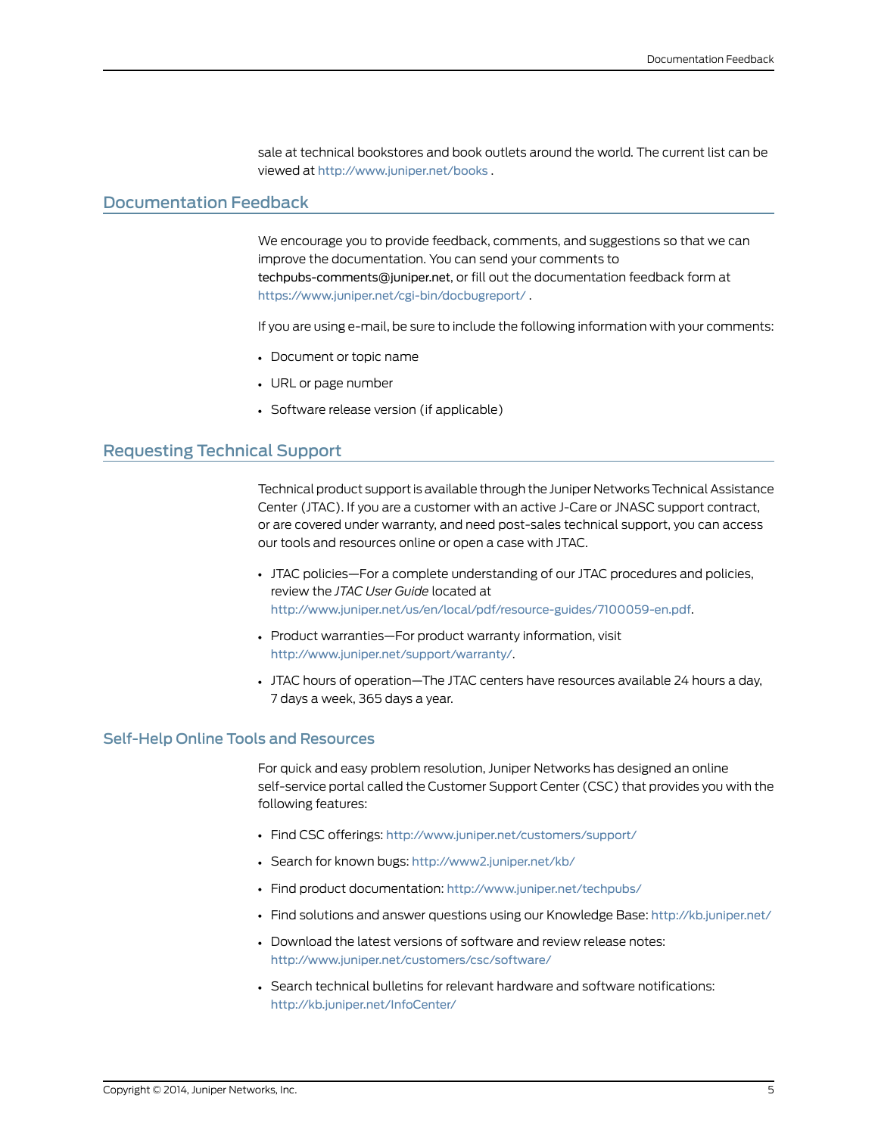sale at technical bookstores and book outlets around the world. The current list can be viewed at <http://www.juniper.net/books> .

# <span id="page-4-0"></span>Documentation Feedback

We encourage you to provide feedback, comments, and suggestions so that we can improve the documentation. You can send your comments to [techpubs-comments@juniper.net](mailto:techpubs-comments@juniper.net), or fill out the documentation feedback form at <https://www.juniper.net/cgi-bin/docbugreport/> .

If you are using e-mail, be sure to include the following information with your comments:

- Document or topic name
- URL or page number
- Software release version (if applicable)

# <span id="page-4-1"></span>Requesting Technical Support

Technical product support is available through the Juniper Networks Technical Assistance Center (JTAC). If you are a customer with an active J-Care or JNASC support contract, or are covered under warranty, and need post-sales technical support, you can access our tools and resources online or open a case with JTAC.

- JTAC policies—For a complete understanding of our JTAC procedures and policies, review the *JTAC User Guide* located at <http://www.juniper.net/us/en/local/pdf/resource-guides/7100059-en.pdf>.
- Product warranties—For product warranty information, visit <http://www.juniper.net/support/warranty/>.
- JTAC hours of operation—The JTAC centers have resources available 24 hours a day, 7 days a week, 365 days a year.

#### <span id="page-4-2"></span>Self-Help Online Tools and Resources

For quick and easy problem resolution, Juniper Networks has designed an online self-service portal called the Customer Support Center (CSC) that provides you with the following features:

- Find CSC offerings: <http://www.juniper.net/customers/support/>
- Search for known bugs: <http://www2.juniper.net/kb/>
- Find product documentation: <http://www.juniper.net/techpubs/>
- Find solutions and answer questions using our Knowledge Base: <http://kb.juniper.net/>
- Download the latest versions of software and review release notes: <http://www.juniper.net/customers/csc/software/>
- Search technical bulletins for relevant hardware and software notifications: <http://kb.juniper.net/InfoCenter/>